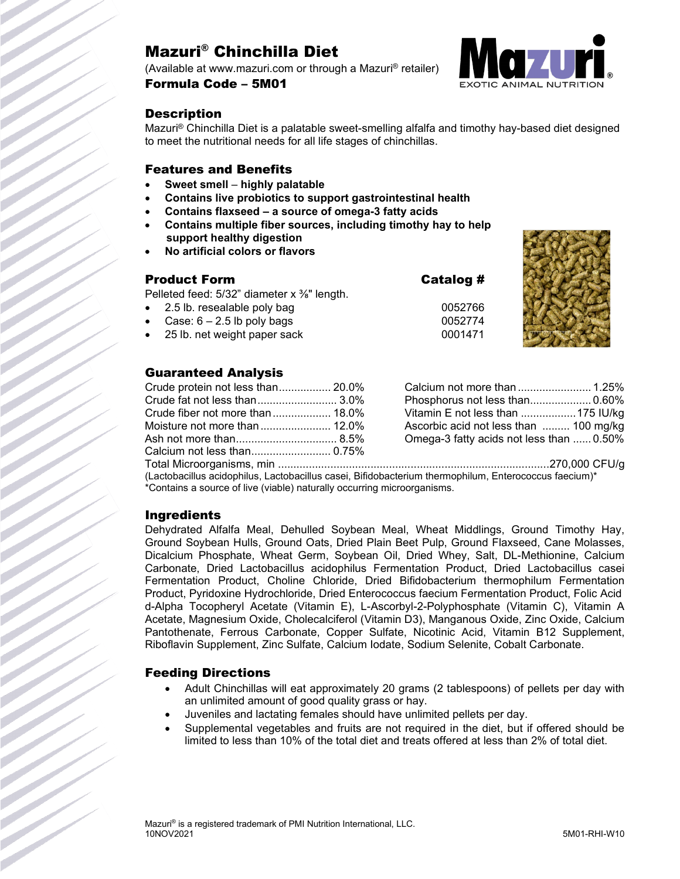# Mazuri® Chinchilla Diet

(Available at www.mazuri.com or through a Mazuri® retailer) Formula Code – 5M01



## **Description**

Mazuri® Chinchilla Diet is a palatable sweet-smelling alfalfa and timothy hay-based diet designed to meet the nutritional needs for all life stages of chinchillas.

### Features and Benefits

- **Sweet smell highly palatable**
- **Contains live probiotics to support gastrointestinal health**
- **Contains flaxseed – a source of omega-3 fatty acids**
- **Contains multiple fiber sources, including timothy hay to help support healthy digestion**
- **No artificial colors or flavors**

## Product Form Catalog # Pelleted feed:  $5/32$ " diameter x  $\frac{3}{8}$ " length. 2.5 lb. resealable poly bag 0052766  $Case: 6 - 2.5$  lb poly bags 0052774 • 25 lb. net weight paper sack 0001471



## Guaranteed Analysis

| Crude protein not less than 20.0% | Cal            |
|-----------------------------------|----------------|
| Crude fat not less than 3.0%      | Phc            |
|                                   | Vita           |
|                                   | Asc            |
|                                   | O <sub>m</sub> |
|                                   |                |
| Total Microorganiamo min          |                |

| Phosphorus not less than 0.60%           |  |
|------------------------------------------|--|
| Vitamin E not less than 175 IU/kg        |  |
| Ascorbic acid not less than  100 mg/kg   |  |
| Omega-3 fatty acids not less than  0.50% |  |

Total Microorganisms, min ........................................................................................270,000 CFU/g (Lactobacillus acidophilus, Lactobacillus casei, Bifidobacterium thermophilum, Enterococcus faecium)\* \*Contains a source of live (viable) naturally occurring microorganisms.

## Ingredients

Dehydrated Alfalfa Meal, Dehulled Soybean Meal, Wheat Middlings, Ground Timothy Hay, Ground Soybean Hulls, Ground Oats, Dried Plain Beet Pulp, Ground Flaxseed, Cane Molasses, Dicalcium Phosphate, Wheat Germ, Soybean Oil, Dried Whey, Salt, DL-Methionine, Calcium Carbonate, Dried Lactobacillus acidophilus Fermentation Product, Dried Lactobacillus casei Fermentation Product, Choline Chloride, Dried Bifidobacterium thermophilum Fermentation Product, Pyridoxine Hydrochloride, Dried Enterococcus faecium Fermentation Product, Folic Acid d-Alpha Tocopheryl Acetate (Vitamin E), L-Ascorbyl-2-Polyphosphate (Vitamin C), Vitamin A Acetate, Magnesium Oxide, Cholecalciferol (Vitamin D3), Manganous Oxide, Zinc Oxide, Calcium Pantothenate, Ferrous Carbonate, Copper Sulfate, Nicotinic Acid, Vitamin B12 Supplement, Riboflavin Supplement, Zinc Sulfate, Calcium Iodate, Sodium Selenite, Cobalt Carbonate.

## Feeding Directions

- Adult Chinchillas will eat approximately 20 grams (2 tablespoons) of pellets per day with an unlimited amount of good quality grass or hay.
- Juveniles and lactating females should have unlimited pellets per day.
- Supplemental vegetables and fruits are not required in the diet, but if offered should be limited to less than 10% of the total diet and treats offered at less than 2% of total diet.